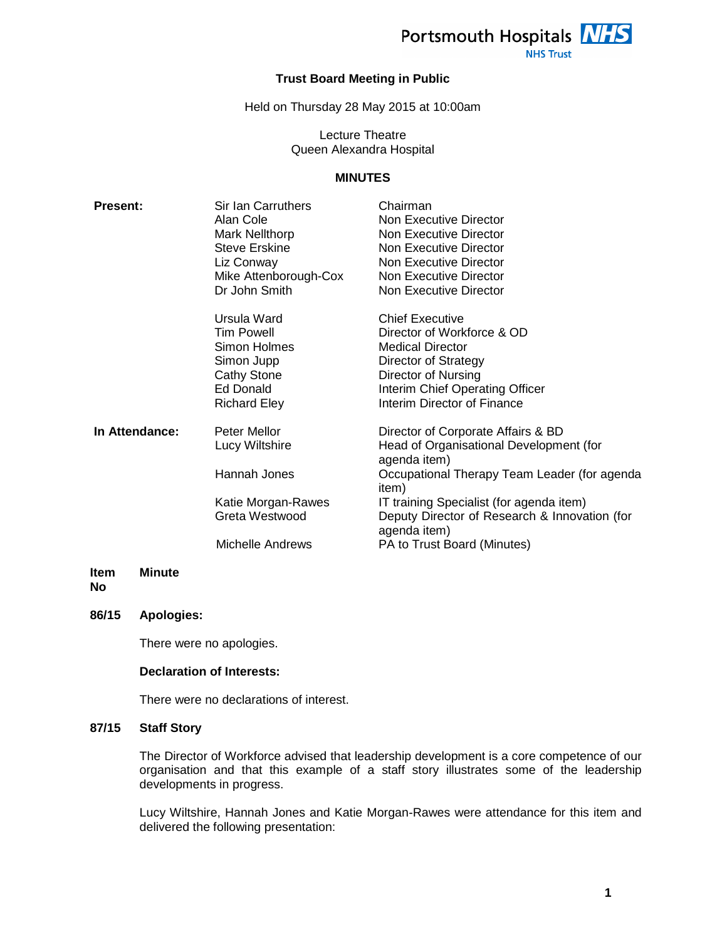

**NHS Trust** 

# **Trust Board Meeting in Public**

Held on Thursday 28 May 2015 at 10:00am

Lecture Theatre Queen Alexandra Hospital

# **MINUTES**

| <b>Present:</b>       | Sir Ian Carruthers<br>Alan Cole<br>Mark Nellthorp<br><b>Steve Erskine</b><br>Liz Conway<br>Mike Attenborough-Cox<br>Dr John Smith | Chairman<br>Non Executive Director<br>Non Executive Director<br>Non Executive Director<br>Non Executive Director<br>Non Executive Director<br>Non Executive Director                                                                                                                               |
|-----------------------|-----------------------------------------------------------------------------------------------------------------------------------|----------------------------------------------------------------------------------------------------------------------------------------------------------------------------------------------------------------------------------------------------------------------------------------------------|
|                       | Ursula Ward<br>Tim Powell<br>Simon Holmes<br>Simon Jupp<br>Cathy Stone<br><b>Ed Donald</b><br><b>Richard Eley</b>                 | <b>Chief Executive</b><br>Director of Workforce & OD<br><b>Medical Director</b><br>Director of Strategy<br>Director of Nursing<br>Interim Chief Operating Officer<br>Interim Director of Finance                                                                                                   |
| In Attendance:        | Peter Mellor<br>Lucy Wiltshire<br>Hannah Jones<br>Katie Morgan-Rawes<br>Greta Westwood<br>Michelle Andrews                        | Director of Corporate Affairs & BD<br>Head of Organisational Development (for<br>agenda item)<br>Occupational Therapy Team Leader (for agenda<br>item)<br>IT training Specialist (for agenda item)<br>Deputy Director of Research & Innovation (for<br>agenda item)<br>PA to Trust Board (Minutes) |
| <b>Item</b><br>Minute |                                                                                                                                   |                                                                                                                                                                                                                                                                                                    |

**No** 

#### **86/15 Apologies:**

There were no apologies.

# **Declaration of Interests:**

There were no declarations of interest.

# **87/15 Staff Story**

The Director of Workforce advised that leadership development is a core competence of our organisation and that this example of a staff story illustrates some of the leadership developments in progress.

Lucy Wiltshire, Hannah Jones and Katie Morgan-Rawes were attendance for this item and delivered the following presentation: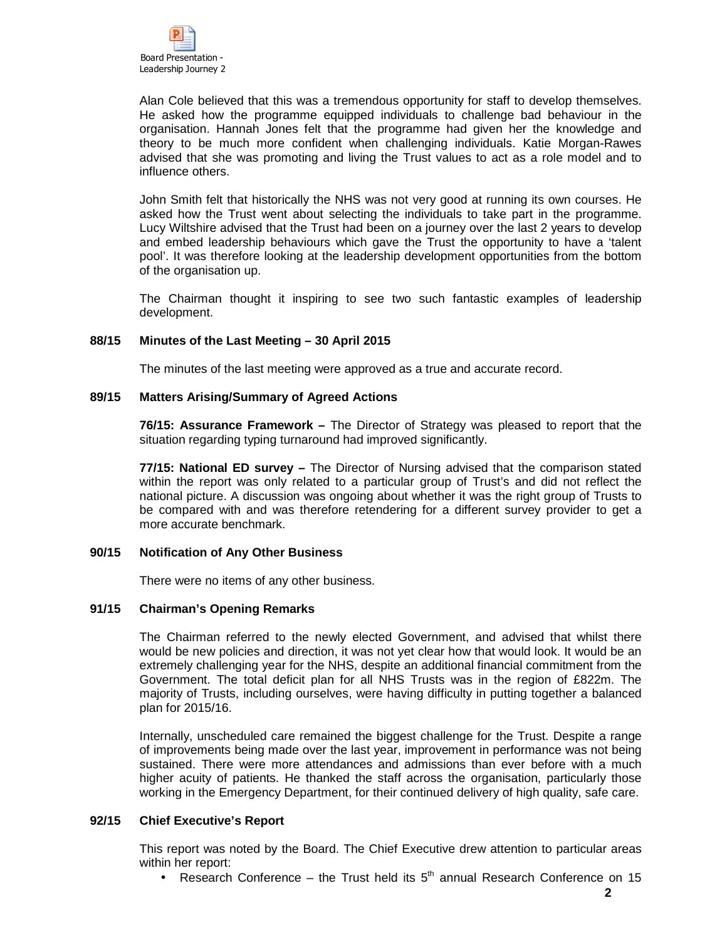Alan Cole believed that this was a tremendous opportunity for staff to develop themselves. He asked how the programme equipped individuals to challenge bad behaviour in the organisation. Hannah Jones felt that the programme had given her the knowledge and theory to be much more confident when challenging individuals. Katie Morgan-Rawes advised that she was promoting and living the Trust values to act as a role model and to influence others.

John Smith felt that historically the NHS was not very good at running its own courses. He asked how the Trust went about selecting the individuals to take part in the programme. Lucy Wiltshire advised that the Trust had been on a journey over the last 2 years to develop and embed leadership behaviours which gave the Trust the opportunity to have a 'talent pool'. It was therefore looking at the leadership development opportunities from the bottom of the organisation up.

The Chairman thought it inspiring to see two such fantastic examples of leadership development.

# **88/15 Minutes of the Last Meeting – 30 April 2015**

The minutes of the last meeting were approved as a true and accurate record.

#### **89/15 Matters Arising/Summary of Agreed Actions**

**76/15: Assurance Framework –** The Director of Strategy was pleased to report that the situation regarding typing turnaround had improved significantly.

**77/15: National ED survey –** The Director of Nursing advised that the comparison stated within the report was only related to a particular group of Trust's and did not reflect the national picture. A discussion was ongoing about whether it was the right group of Trusts to be compared with and was therefore retendering for a different survey provider to get a more accurate benchmark.

#### **90/15 Notification of Any Other Business**

There were no items of any other business.

# **91/15 Chairman's Opening Remarks**

The Chairman referred to the newly elected Government, and advised that whilst there would be new policies and direction, it was not yet clear how that would look. It would be an extremely challenging year for the NHS, despite an additional financial commitment from the Government. The total deficit plan for all NHS Trusts was in the region of £822m. The majority of Trusts, including ourselves, were having difficulty in putting together a balanced plan for 2015/16.

Internally, unscheduled care remained the biggest challenge for the Trust. Despite a range of improvements being made over the last year, improvement in performance was not being sustained. There were more attendances and admissions than ever before with a much higher acuity of patients. He thanked the staff across the organisation, particularly those working in the Emergency Department, for their continued delivery of high quality, safe care.

#### **92/15 Chief Executive's Report**

This report was noted by the Board. The Chief Executive drew attention to particular areas within her report:

• Research Conference – the Trust held its  $5<sup>th</sup>$  annual Research Conference on 15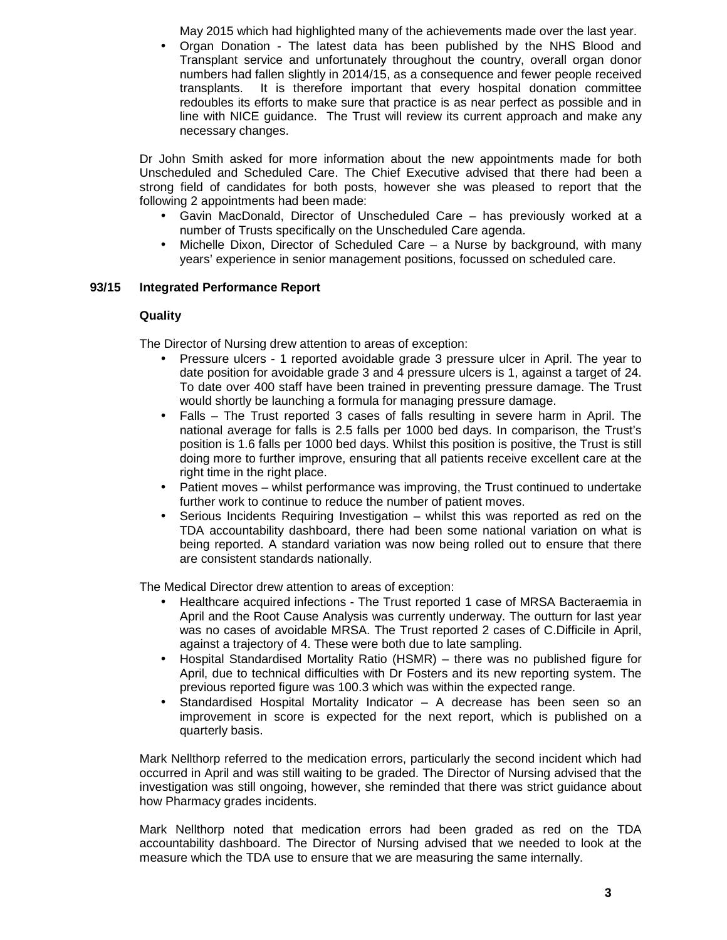May 2015 which had highlighted many of the achievements made over the last year.

• Organ Donation - The latest data has been published by the NHS Blood and Transplant service and unfortunately throughout the country, overall organ donor numbers had fallen slightly in 2014/15, as a consequence and fewer people received transplants. It is therefore important that every hospital donation committee redoubles its efforts to make sure that practice is as near perfect as possible and in line with NICE guidance. The Trust will review its current approach and make any necessary changes.

Dr John Smith asked for more information about the new appointments made for both Unscheduled and Scheduled Care. The Chief Executive advised that there had been a strong field of candidates for both posts, however she was pleased to report that the following 2 appointments had been made:

- Gavin MacDonald, Director of Unscheduled Care has previously worked at a number of Trusts specifically on the Unscheduled Care agenda.
- Michelle Dixon, Director of Scheduled Care a Nurse by background, with many years' experience in senior management positions, focussed on scheduled care.

# **93/15 Integrated Performance Report**

# **Quality**

The Director of Nursing drew attention to areas of exception:

- Pressure ulcers 1 reported avoidable grade 3 pressure ulcer in April. The year to date position for avoidable grade 3 and 4 pressure ulcers is 1, against a target of 24. To date over 400 staff have been trained in preventing pressure damage. The Trust would shortly be launching a formula for managing pressure damage.
- Falls The Trust reported 3 cases of falls resulting in severe harm in April. The national average for falls is 2.5 falls per 1000 bed days. In comparison, the Trust's position is 1.6 falls per 1000 bed days. Whilst this position is positive, the Trust is still doing more to further improve, ensuring that all patients receive excellent care at the right time in the right place.
- Patient moves whilst performance was improving, the Trust continued to undertake further work to continue to reduce the number of patient moves.
- Serious Incidents Requiring Investigation whilst this was reported as red on the TDA accountability dashboard, there had been some national variation on what is being reported. A standard variation was now being rolled out to ensure that there are consistent standards nationally.

The Medical Director drew attention to areas of exception:

- Healthcare acquired infections The Trust reported 1 case of MRSA Bacteraemia in April and the Root Cause Analysis was currently underway. The outturn for last year was no cases of avoidable MRSA. The Trust reported 2 cases of C.Difficile in April, against a trajectory of 4. These were both due to late sampling.
- Hospital Standardised Mortality Ratio (HSMR) there was no published figure for April, due to technical difficulties with Dr Fosters and its new reporting system. The previous reported figure was 100.3 which was within the expected range.
- Standardised Hospital Mortality Indicator A decrease has been seen so an improvement in score is expected for the next report, which is published on a quarterly basis.

Mark Nellthorp referred to the medication errors, particularly the second incident which had occurred in April and was still waiting to be graded. The Director of Nursing advised that the investigation was still ongoing, however, she reminded that there was strict guidance about how Pharmacy grades incidents.

Mark Nellthorp noted that medication errors had been graded as red on the TDA accountability dashboard. The Director of Nursing advised that we needed to look at the measure which the TDA use to ensure that we are measuring the same internally.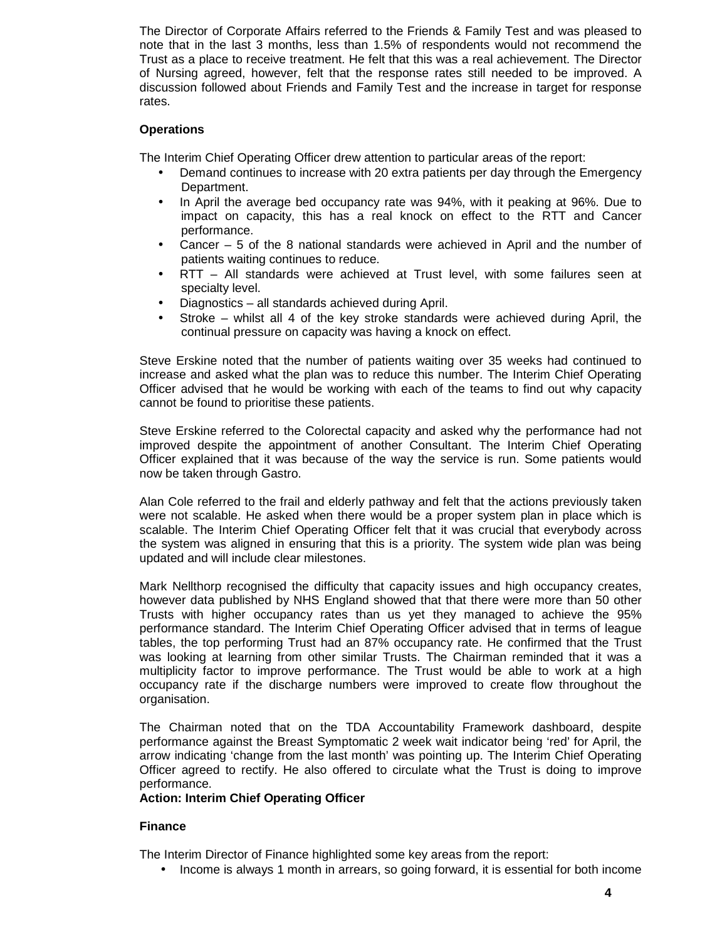The Director of Corporate Affairs referred to the Friends & Family Test and was pleased to note that in the last 3 months, less than 1.5% of respondents would not recommend the Trust as a place to receive treatment. He felt that this was a real achievement. The Director of Nursing agreed, however, felt that the response rates still needed to be improved. A discussion followed about Friends and Family Test and the increase in target for response rates.

# **Operations**

The Interim Chief Operating Officer drew attention to particular areas of the report:

- Demand continues to increase with 20 extra patients per day through the Emergency Department.
- In April the average bed occupancy rate was 94%, with it peaking at 96%. Due to impact on capacity, this has a real knock on effect to the RTT and Cancer performance.
- Cancer  $-5$  of the 8 national standards were achieved in April and the number of patients waiting continues to reduce.
- RTT All standards were achieved at Trust level, with some failures seen at specialty level.
- Diagnostics all standards achieved during April.
- Stroke whilst all 4 of the key stroke standards were achieved during April, the continual pressure on capacity was having a knock on effect.

Steve Erskine noted that the number of patients waiting over 35 weeks had continued to increase and asked what the plan was to reduce this number. The Interim Chief Operating Officer advised that he would be working with each of the teams to find out why capacity cannot be found to prioritise these patients.

Steve Erskine referred to the Colorectal capacity and asked why the performance had not improved despite the appointment of another Consultant. The Interim Chief Operating Officer explained that it was because of the way the service is run. Some patients would now be taken through Gastro.

Alan Cole referred to the frail and elderly pathway and felt that the actions previously taken were not scalable. He asked when there would be a proper system plan in place which is scalable. The Interim Chief Operating Officer felt that it was crucial that everybody across the system was aligned in ensuring that this is a priority. The system wide plan was being updated and will include clear milestones.

Mark Nellthorp recognised the difficulty that capacity issues and high occupancy creates, however data published by NHS England showed that that there were more than 50 other Trusts with higher occupancy rates than us yet they managed to achieve the 95% performance standard. The Interim Chief Operating Officer advised that in terms of league tables, the top performing Trust had an 87% occupancy rate. He confirmed that the Trust was looking at learning from other similar Trusts. The Chairman reminded that it was a multiplicity factor to improve performance. The Trust would be able to work at a high occupancy rate if the discharge numbers were improved to create flow throughout the organisation.

The Chairman noted that on the TDA Accountability Framework dashboard, despite performance against the Breast Symptomatic 2 week wait indicator being 'red' for April, the arrow indicating 'change from the last month' was pointing up. The Interim Chief Operating Officer agreed to rectify. He also offered to circulate what the Trust is doing to improve performance.

#### **Action: Interim Chief Operating Officer**

# **Finance**

The Interim Director of Finance highlighted some key areas from the report:

• Income is always 1 month in arrears, so going forward, it is essential for both income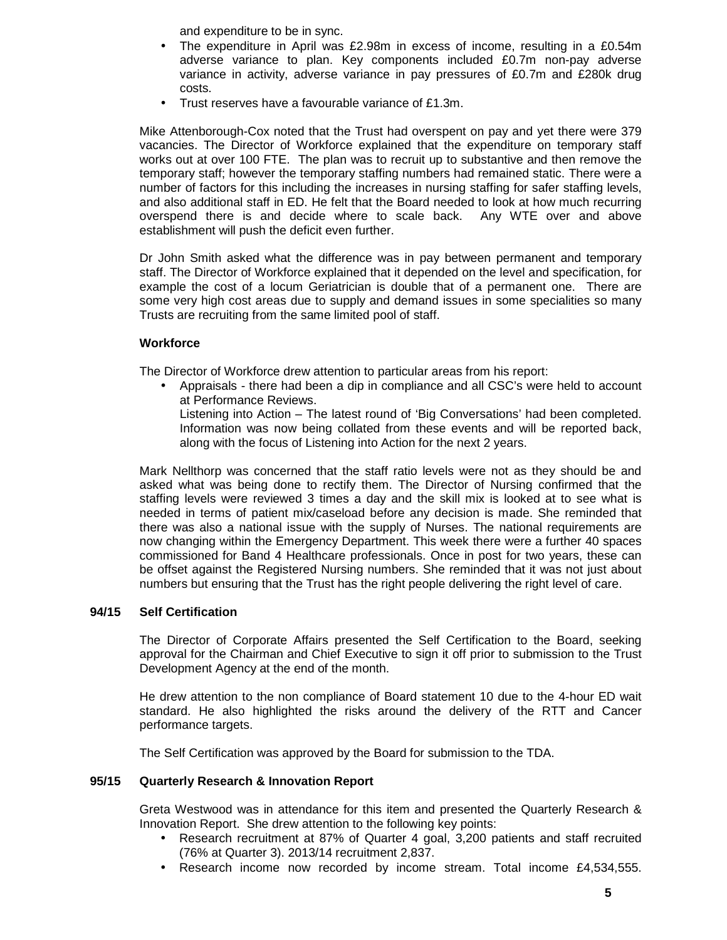and expenditure to be in sync.

- The expenditure in April was £2.98m in excess of income, resulting in a £0.54m adverse variance to plan. Key components included £0.7m non-pay adverse variance in activity, adverse variance in pay pressures of £0.7m and £280k drug costs.
- Trust reserves have a favourable variance of £1.3m.

Mike Attenborough-Cox noted that the Trust had overspent on pay and yet there were 379 vacancies. The Director of Workforce explained that the expenditure on temporary staff works out at over 100 FTE. The plan was to recruit up to substantive and then remove the temporary staff; however the temporary staffing numbers had remained static. There were a number of factors for this including the increases in nursing staffing for safer staffing levels, and also additional staff in ED. He felt that the Board needed to look at how much recurring overspend there is and decide where to scale back. Any WTE over and above establishment will push the deficit even further.

Dr John Smith asked what the difference was in pay between permanent and temporary staff. The Director of Workforce explained that it depended on the level and specification, for example the cost of a locum Geriatrician is double that of a permanent one. There are some very high cost areas due to supply and demand issues in some specialities so many Trusts are recruiting from the same limited pool of staff.

# **Workforce**

The Director of Workforce drew attention to particular areas from his report:

• Appraisals - there had been a dip in compliance and all CSC's were held to account at Performance Reviews.

Listening into Action – The latest round of 'Big Conversations' had been completed. Information was now being collated from these events and will be reported back, along with the focus of Listening into Action for the next 2 years.

Mark Nellthorp was concerned that the staff ratio levels were not as they should be and asked what was being done to rectify them. The Director of Nursing confirmed that the staffing levels were reviewed 3 times a day and the skill mix is looked at to see what is needed in terms of patient mix/caseload before any decision is made. She reminded that there was also a national issue with the supply of Nurses. The national requirements are now changing within the Emergency Department. This week there were a further 40 spaces commissioned for Band 4 Healthcare professionals. Once in post for two years, these can be offset against the Registered Nursing numbers. She reminded that it was not just about numbers but ensuring that the Trust has the right people delivering the right level of care.

# **94/15 Self Certification**

The Director of Corporate Affairs presented the Self Certification to the Board, seeking approval for the Chairman and Chief Executive to sign it off prior to submission to the Trust Development Agency at the end of the month.

He drew attention to the non compliance of Board statement 10 due to the 4-hour ED wait standard. He also highlighted the risks around the delivery of the RTT and Cancer performance targets.

The Self Certification was approved by the Board for submission to the TDA.

# **95/15 Quarterly Research & Innovation Report**

Greta Westwood was in attendance for this item and presented the Quarterly Research & Innovation Report. She drew attention to the following key points:

- Research recruitment at 87% of Quarter 4 goal, 3,200 patients and staff recruited (76% at Quarter 3). 2013/14 recruitment 2,837.
- Research income now recorded by income stream. Total income £4,534,555.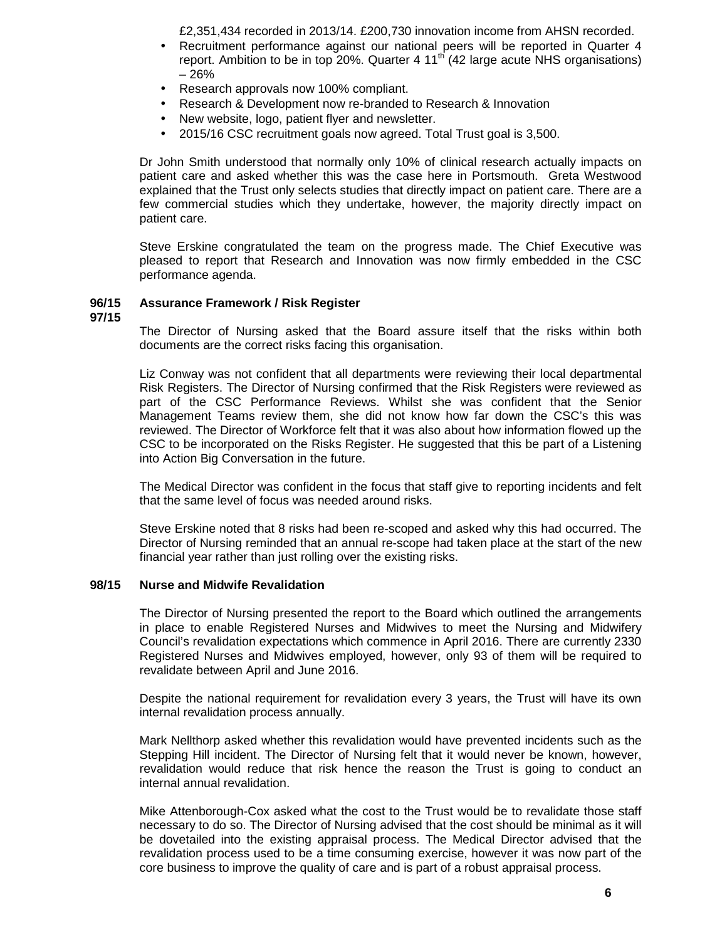£2,351,434 recorded in 2013/14. £200,730 innovation income from AHSN recorded.

- Recruitment performance against our national peers will be reported in Quarter 4 report. Ambition to be in top 20%. Quarter 4  $11<sup>th</sup>$  (42 large acute NHS organisations) – 26%
- Research approvals now 100% compliant.
- Research & Development now re-branded to Research & Innovation
- New website, logo, patient flyer and newsletter.
- 2015/16 CSC recruitment goals now agreed. Total Trust goal is 3,500.

Dr John Smith understood that normally only 10% of clinical research actually impacts on patient care and asked whether this was the case here in Portsmouth. Greta Westwood explained that the Trust only selects studies that directly impact on patient care. There are a few commercial studies which they undertake, however, the majority directly impact on patient care.

Steve Erskine congratulated the team on the progress made. The Chief Executive was pleased to report that Research and Innovation was now firmly embedded in the CSC performance agenda.

#### **96/15 Assurance Framework / Risk Register**

**97/15** 

The Director of Nursing asked that the Board assure itself that the risks within both documents are the correct risks facing this organisation.

Liz Conway was not confident that all departments were reviewing their local departmental Risk Registers. The Director of Nursing confirmed that the Risk Registers were reviewed as part of the CSC Performance Reviews. Whilst she was confident that the Senior Management Teams review them, she did not know how far down the CSC's this was reviewed. The Director of Workforce felt that it was also about how information flowed up the CSC to be incorporated on the Risks Register. He suggested that this be part of a Listening into Action Big Conversation in the future.

The Medical Director was confident in the focus that staff give to reporting incidents and felt that the same level of focus was needed around risks.

Steve Erskine noted that 8 risks had been re-scoped and asked why this had occurred. The Director of Nursing reminded that an annual re-scope had taken place at the start of the new financial year rather than just rolling over the existing risks.

#### **98/15 Nurse and Midwife Revalidation**

The Director of Nursing presented the report to the Board which outlined the arrangements in place to enable Registered Nurses and Midwives to meet the Nursing and Midwifery Council's revalidation expectations which commence in April 2016. There are currently 2330 Registered Nurses and Midwives employed, however, only 93 of them will be required to revalidate between April and June 2016.

Despite the national requirement for revalidation every 3 years, the Trust will have its own internal revalidation process annually.

Mark Nellthorp asked whether this revalidation would have prevented incidents such as the Stepping Hill incident. The Director of Nursing felt that it would never be known, however, revalidation would reduce that risk hence the reason the Trust is going to conduct an internal annual revalidation.

Mike Attenborough-Cox asked what the cost to the Trust would be to revalidate those staff necessary to do so. The Director of Nursing advised that the cost should be minimal as it will be dovetailed into the existing appraisal process. The Medical Director advised that the revalidation process used to be a time consuming exercise, however it was now part of the core business to improve the quality of care and is part of a robust appraisal process.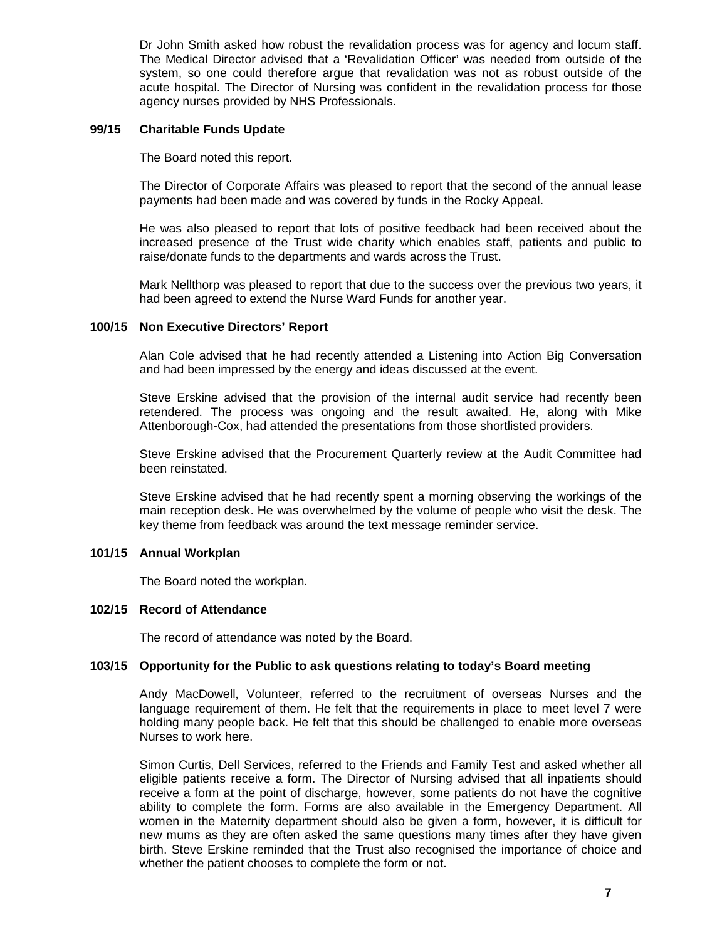Dr John Smith asked how robust the revalidation process was for agency and locum staff. The Medical Director advised that a 'Revalidation Officer' was needed from outside of the system, so one could therefore argue that revalidation was not as robust outside of the acute hospital. The Director of Nursing was confident in the revalidation process for those agency nurses provided by NHS Professionals.

# **99/15 Charitable Funds Update**

The Board noted this report.

The Director of Corporate Affairs was pleased to report that the second of the annual lease payments had been made and was covered by funds in the Rocky Appeal.

He was also pleased to report that lots of positive feedback had been received about the increased presence of the Trust wide charity which enables staff, patients and public to raise/donate funds to the departments and wards across the Trust.

Mark Nellthorp was pleased to report that due to the success over the previous two years, it had been agreed to extend the Nurse Ward Funds for another year.

# **100/15 Non Executive Directors' Report**

Alan Cole advised that he had recently attended a Listening into Action Big Conversation and had been impressed by the energy and ideas discussed at the event.

Steve Erskine advised that the provision of the internal audit service had recently been retendered. The process was ongoing and the result awaited. He, along with Mike Attenborough-Cox, had attended the presentations from those shortlisted providers.

Steve Erskine advised that the Procurement Quarterly review at the Audit Committee had been reinstated.

Steve Erskine advised that he had recently spent a morning observing the workings of the main reception desk. He was overwhelmed by the volume of people who visit the desk. The key theme from feedback was around the text message reminder service.

#### **101/15 Annual Workplan**

The Board noted the workplan.

# **102/15 Record of Attendance**

The record of attendance was noted by the Board.

# **103/15 Opportunity for the Public to ask questions relating to today's Board meeting**

Andy MacDowell, Volunteer, referred to the recruitment of overseas Nurses and the language requirement of them. He felt that the requirements in place to meet level 7 were holding many people back. He felt that this should be challenged to enable more overseas Nurses to work here.

Simon Curtis, Dell Services, referred to the Friends and Family Test and asked whether all eligible patients receive a form. The Director of Nursing advised that all inpatients should receive a form at the point of discharge, however, some patients do not have the cognitive ability to complete the form. Forms are also available in the Emergency Department. All women in the Maternity department should also be given a form, however, it is difficult for new mums as they are often asked the same questions many times after they have given birth. Steve Erskine reminded that the Trust also recognised the importance of choice and whether the patient chooses to complete the form or not.